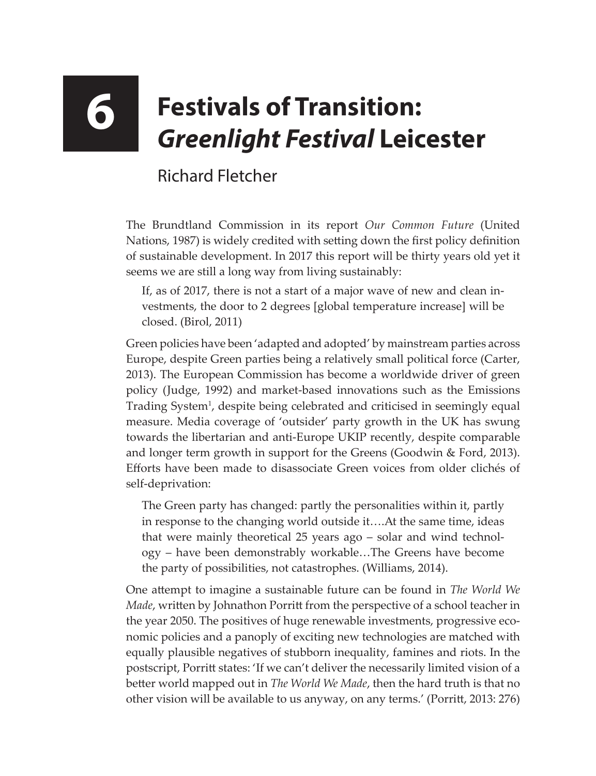## **6 Festivals of Transition:**  *Greenlight Festival* **Leicester**

## Richard Fletcher

The Brundtland Commission in its report *Our Common Future* (United Nations, 1987) is widely credited with setting down the first policy definition of sustainable development. In 2017 this report will be thirty years old yet it seems we are still a long way from living sustainably:

If, as of 2017, there is not a start of a major wave of new and clean investments, the door to 2 degrees [global temperature increase] will be closed. (Birol, 2011)

Green policies have been 'adapted and adopted' by mainstream parties across Europe, despite Green parties being a relatively small political force (Carter, 2013). The European Commission has become a worldwide driver of green policy (Judge, 1992) and market-based innovations such as the Emissions Trading System<sup>1</sup>, despite being celebrated and criticised in seemingly equal measure. Media coverage of 'outsider' party growth in the UK has swung towards the libertarian and anti-Europe UKIP recently, despite comparable and longer term growth in support for the Greens (Goodwin & Ford, 2013). Efforts have been made to disassociate Green voices from older clichés of self-deprivation:

The Green party has changed: partly the personalities within it, partly in response to the changing world outside it….At the same time, ideas that were mainly theoretical 25 years ago – solar and wind technology – have been demonstrably workable…The Greens have become the party of possibilities, not catastrophes. (Williams, 2014).

One attempt to imagine a sustainable future can be found in *The World We Made*, written by Johnathon Porritt from the perspective of a school teacher in the year 2050. The positives of huge renewable investments, progressive economic policies and a panoply of exciting new technologies are matched with equally plausible negatives of stubborn inequality, famines and riots. In the postscript, Porritt states: 'If we can't deliver the necessarily limited vision of a better world mapped out in *The World We Made*, then the hard truth is that no other vision will be available to us anyway, on any terms.' (Porritt, 2013: 276)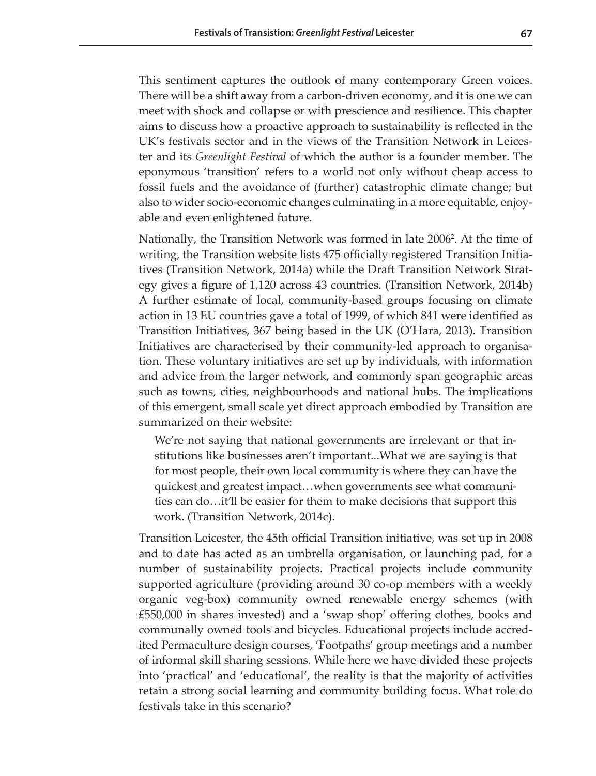This sentiment captures the outlook of many contemporary Green voices. There will be a shift away from a carbon-driven economy, and it is one we can meet with shock and collapse or with prescience and resilience. This chapter aims to discuss how a proactive approach to sustainability is reflected in the UK's festivals sector and in the views of the Transition Network in Leicester and its *Greenlight Festival* of which the author is a founder member. The eponymous 'transition' refers to a world not only without cheap access to fossil fuels and the avoidance of (further) catastrophic climate change; but also to wider socio-economic changes culminating in a more equitable, enjoyable and even enlightened future.

Nationally, the Transition Network was formed in late 2006<sup>2</sup>. At the time of writing, the Transition website lists 475 officially registered Transition Initiatives (Transition Network, 2014a) while the Draft Transition Network Strategy gives a figure of 1,120 across 43 countries. (Transition Network, 2014b) A further estimate of local, community-based groups focusing on climate action in 13 EU countries gave a total of 1999, of which 841 were identified as Transition Initiatives, 367 being based in the UK (O'Hara, 2013). Transition Initiatives are characterised by their community-led approach to organisation. These voluntary initiatives are set up by individuals, with information and advice from the larger network, and commonly span geographic areas such as towns, cities, neighbourhoods and national hubs. The implications of this emergent, small scale yet direct approach embodied by Transition are summarized on their website:

We're not saying that national governments are irrelevant or that institutions like businesses aren't important...What we are saying is that for most people, their own local community is where they can have the quickest and greatest impact…when governments see what communities can do…it'll be easier for them to make decisions that support this work. (Transition Network, 2014c).

Transition Leicester, the 45th official Transition initiative, was set up in 2008 and to date has acted as an umbrella organisation, or launching pad, for a number of sustainability projects. Practical projects include community supported agriculture (providing around 30 co-op members with a weekly organic veg-box) community owned renewable energy schemes (with £550,000 in shares invested) and a 'swap shop' offering clothes, books and communally owned tools and bicycles. Educational projects include accredited Permaculture design courses, 'Footpaths' group meetings and a number of informal skill sharing sessions. While here we have divided these projects into 'practical' and 'educational', the reality is that the majority of activities retain a strong social learning and community building focus. What role do festivals take in this scenario?